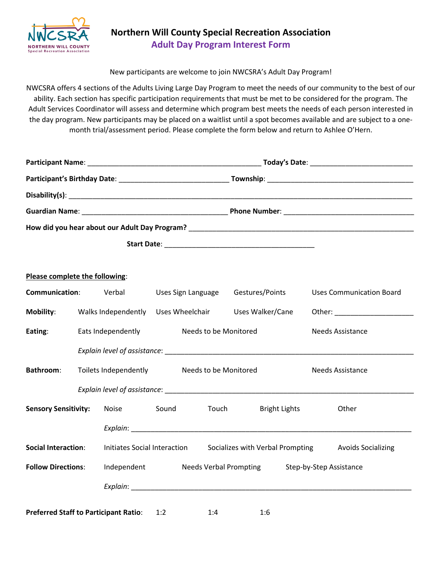

### **Northern Will County Special Recreation Association Adult Day Program Interest Form**

New participants are welcome to join NWCSRA's Adult Day Program!

NWCSRA offers 4 sections of the Adults Living Large Day Program to meet the needs of our community to the best of our ability. Each section has specific participation requirements that must be met to be considered for the program. The Adult Services Coordinator will assess and determine which program best meets the needs of each person interested in the day program. New participants may be placed on a waitlist until a spot becomes available and are subject to a onemonth trial/assessment period. Please complete the form below and return to Ashlee O'Hern.

| Please complete the following:               |                    |                                                                                                                |                               |                    |                                  |                      |                         |                                                                                                                                                                                                                                |  |
|----------------------------------------------|--------------------|----------------------------------------------------------------------------------------------------------------|-------------------------------|--------------------|----------------------------------|----------------------|-------------------------|--------------------------------------------------------------------------------------------------------------------------------------------------------------------------------------------------------------------------------|--|
| Communication:                               |                    | Verbal                                                                                                         |                               | Uses Sign Language | Gestures/Points                  |                      |                         | <b>Uses Communication Board</b>                                                                                                                                                                                                |  |
| Mobility:                                    |                    | Walks Independently Uses Wheelchair Uses Walker/Cane                                                           |                               |                    |                                  |                      |                         | Other: University of the Contract of the Contract of the Contract of the Contract of the Contract of the Contract of the Contract of the Contract of the Contract of the Contract of the Contract of the Contract of the Contr |  |
| Eating:                                      | Eats Independently |                                                                                                                | Needs to be Monitored         |                    |                                  |                      | <b>Needs Assistance</b> |                                                                                                                                                                                                                                |  |
|                                              |                    | Explain level of assistance: explained a series of the series of the series of the series of the series of the |                               |                    |                                  |                      |                         |                                                                                                                                                                                                                                |  |
| <b>Bathroom:</b>                             |                    | Toilets Independently                                                                                          | Needs to be Monitored         |                    |                                  |                      |                         | <b>Needs Assistance</b>                                                                                                                                                                                                        |  |
|                                              |                    |                                                                                                                |                               |                    |                                  |                      |                         |                                                                                                                                                                                                                                |  |
| <b>Sensory Sensitivity:</b>                  |                    | Noise                                                                                                          | Sound                         | Touch              |                                  | <b>Bright Lights</b> |                         | Other                                                                                                                                                                                                                          |  |
|                                              |                    |                                                                                                                |                               |                    |                                  |                      |                         |                                                                                                                                                                                                                                |  |
| <b>Social Interaction:</b>                   |                    | Initiates Social Interaction                                                                                   |                               |                    | Socializes with Verbal Prompting |                      |                         | <b>Avoids Socializing</b>                                                                                                                                                                                                      |  |
| <b>Follow Directions:</b>                    |                    | Independent                                                                                                    | <b>Needs Verbal Prompting</b> |                    |                                  |                      | Step-by-Step Assistance |                                                                                                                                                                                                                                |  |
|                                              |                    |                                                                                                                |                               |                    |                                  |                      |                         |                                                                                                                                                                                                                                |  |
| <b>Preferred Staff to Participant Ratio:</b> |                    |                                                                                                                | 1:2                           | 1:4                | 1:6                              |                      |                         |                                                                                                                                                                                                                                |  |